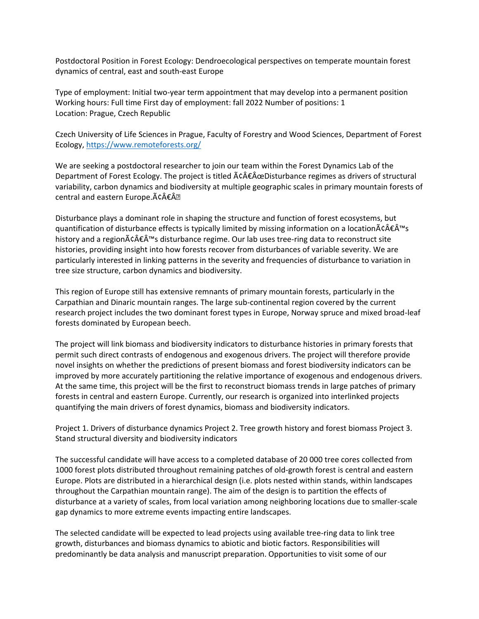Postdoctoral Position in Forest Ecology: Dendroecological perspectives on temperate mountain forest dynamics of central, east and south-east Europe

Type of employment: Initial two-year term appointment that may develop into a permanent position Working hours: Full time First day of employment: fall 2022 Number of positions: 1 Location: Prague, Czech Republic

Czech University of Life Sciences in Prague, Faculty of Forestry and Wood Sciences, Department of Forest Ecology,<https://www.remoteforests.org/>

We are seeking a postdoctoral researcher to join our team within the Forest Dynamics Lab of the Department of Forest Ecology. The project is titled  $\tilde{A}\hat{c}\hat{A}\hat{\epsilon}\hat{A}\hat{c}$ Disturbance regimes as drivers of structural variability, carbon dynamics and biodiversity at multiple geographic scales in primary mountain forests of central and eastern Europe. â€Â.

Disturbance plays a dominant role in shaping the structure and function of forest ecosystems, but quantification of disturbance effects is typically limited by missing information on a location $\tilde{A}\epsilon \hat{A} \tilde{C}^{\text{M}}$ s history and a region $\tilde{A}\in \hat{A}^{\text{m}}$ s disturbance regime. Our lab uses tree-ring data to reconstruct site histories, providing insight into how forests recover from disturbances of variable severity. We are particularly interested in linking patterns in the severity and frequencies of disturbance to variation in tree size structure, carbon dynamics and biodiversity.

This region of Europe still has extensive remnants of primary mountain forests, particularly in the Carpathian and Dinaric mountain ranges. The large sub-continental region covered by the current research project includes the two dominant forest types in Europe, Norway spruce and mixed broad-leaf forests dominated by European beech.

The project will link biomass and biodiversity indicators to disturbance histories in primary forests that permit such direct contrasts of endogenous and exogenous drivers. The project will therefore provide novel insights on whether the predictions of present biomass and forest biodiversity indicators can be improved by more accurately partitioning the relative importance of exogenous and endogenous drivers. At the same time, this project will be the first to reconstruct biomass trends in large patches of primary forests in central and eastern Europe. Currently, our research is organized into interlinked projects quantifying the main drivers of forest dynamics, biomass and biodiversity indicators.

Project 1. Drivers of disturbance dynamics Project 2. Tree growth history and forest biomass Project 3. Stand structural diversity and biodiversity indicators

The successful candidate will have access to a completed database of 20 000 tree cores collected from 1000 forest plots distributed throughout remaining patches of old-growth forest is central and eastern Europe. Plots are distributed in a hierarchical design (i.e. plots nested within stands, within landscapes throughout the Carpathian mountain range). The aim of the design is to partition the effects of disturbance at a variety of scales, from local variation among neighboring locations due to smaller-scale gap dynamics to more extreme events impacting entire landscapes.

The selected candidate will be expected to lead projects using available tree-ring data to link tree growth, disturbances and biomass dynamics to abiotic and biotic factors. Responsibilities will predominantly be data analysis and manuscript preparation. Opportunities to visit some of our